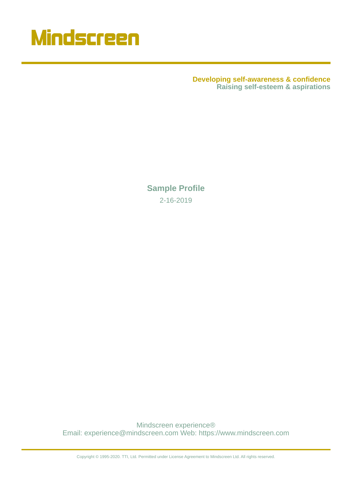

**Developing self-awareness & confidence Raising self-esteem & aspirations**

**Sample Profile** 2-16-2019

Mindscreen experience® Email: experience@mindscreen.com Web: https://www.mindscreen.com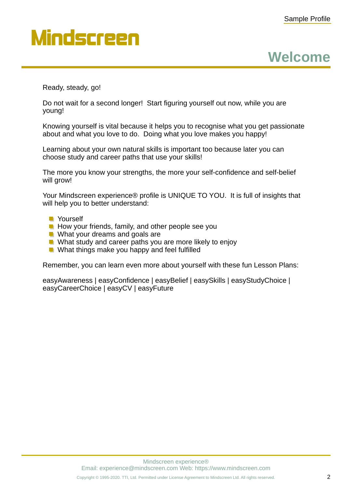**Welcome**

Ready, steady, go!

Do not wait for a second longer! Start figuring yourself out now, while you are young!

Knowing yourself is vital because it helps you to recognise what you get passionate about and what you love to do. Doing what you love makes you happy!

Learning about your own natural skills is important too because later you can choose study and career paths that use your skills!

The more you know your strengths, the more your self-confidence and self-belief will grow!

Your Mindscreen experience® profile is UNIQUE TO YOU. It is full of insights that will help you to better understand:

- **Nourself**
- $\blacksquare$  How your friends, family, and other people see you
- **No. 1.** What your dreams and goals are
- What study and career paths you are more likely to enjoy
- **What things make you happy and feel fulfilled**

Remember, you can learn even more about yourself with these fun Lesson Plans:

easyAwareness | easyConfidence | easyBelief | easySkills | easyStudyChoice | easyCareerChoice | easyCV | easyFuture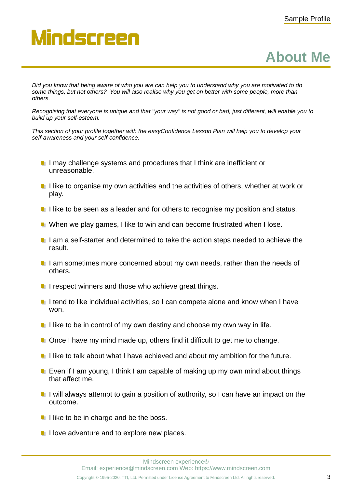#### **About Me**

*Did you know that being aware of who you are can help you to understand why you are motivated to do some things, but not others? You will also realise why you get on better with some people, more than others.*

*Recognising that everyone is unique and that "your way" is not good or bad, just different, will enable you to build up your self-esteem.*

*This section of your profile together with the easyConfidence Lesson Plan will help you to develop your self-awareness and your self-confidence.*

- $\blacksquare$  I may challenge systems and procedures that I think are inefficient or unreasonable.
- $\blacksquare$  I like to organise my own activities and the activities of others, whether at work or play.
- I like to be seen as a leader and for others to recognise my position and status.
- **U** When we play games, I like to win and can become frustrated when I lose.
- I am a self-starter and determined to take the action steps needed to achieve the result.
- I am sometimes more concerned about my own needs, rather than the needs of others.
- $\blacksquare$  I respect winners and those who achieve great things.
- I tend to like individual activities, so I can compete alone and know when I have won.
- I like to be in control of my own destiny and choose my own way in life.
- **Once I have my mind made up, others find it difficult to get me to change.**
- I like to talk about what I have achieved and about my ambition for the future.
- **Exen if I am young, I think I am capable of making up my own mind about things** that affect me.
- $\blacksquare$  I will always attempt to gain a position of authority, so I can have an impact on the outcome.
- $\blacksquare$  I like to be in charge and be the boss.
- $\blacksquare$  I love adventure and to explore new places.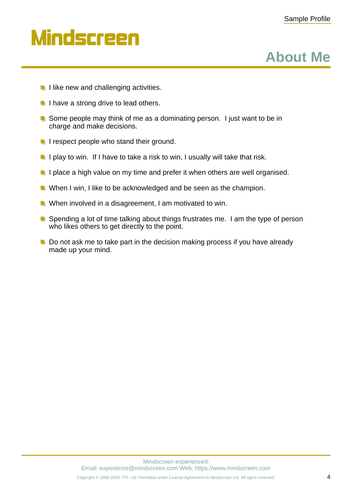**About Me**

## Mindscreen

- **I** like new and challenging activities.
- $\blacksquare$  I have a strong drive to lead others.
- **E** Some people may think of me as a dominating person. I just want to be in charge and make decisions.
- **I** respect people who stand their ground.
- I play to win. If I have to take a risk to win, I usually will take that risk.
- I place a high value on my time and prefer it when others are well organised.
- When I win, I like to be acknowledged and be seen as the champion.
- **Notal Exercice Memoral in a disagreement, I am motivated to win.**
- $\blacksquare$  Spending a lot of time talking about things frustrates me. I am the type of person who likes others to get directly to the point.
- $\blacksquare$  Do not ask me to take part in the decision making process if you have already made up your mind.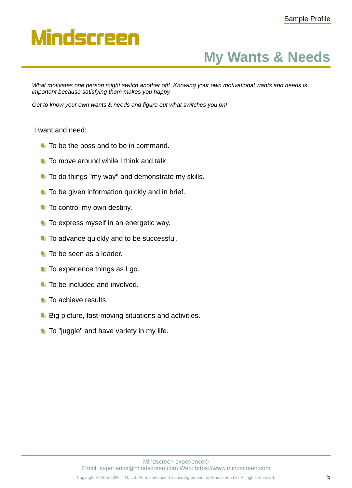## **My Wants & Needs**

*What motivates one person might switch another off! Knowing your own motivational wants and needs is important because satisfying them makes you happy.*

*Get to know your own wants & needs and figure out what switches you on!*

#### I want and need:

- $\blacksquare$  To be the boss and to be in command.
- $\blacksquare$  To move around while I think and talk.
- $\blacksquare$  To do things "my way" and demonstrate my skills.
- $\blacksquare$  To be given information quickly and in brief.
- $\blacksquare$  To control my own destiny.
- $\blacksquare$  To express myself in an energetic way.
- **To advance quickly and to be successful.**
- $\blacksquare$  To be seen as a leader.
- $\blacksquare$  To experience things as I go.
- $\blacksquare$  To be included and involved.
- $\blacksquare$  To achieve results.
- **Big picture, fast-moving situations and activities.**
- $\blacksquare$  To "juggle" and have variety in my life.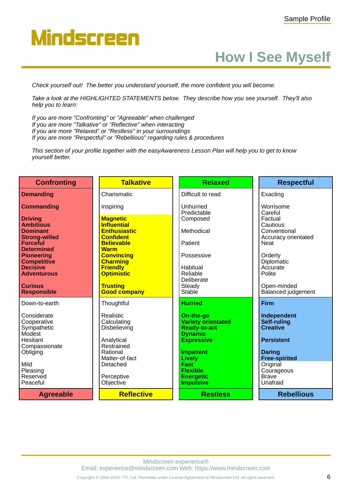#### **How I See Myself**

*Check yourself out! The better you understand yourself, the more confident you will become.*

*Take a look at the HIGHLIGHTED STATEMENTS below. They describe how you see yourself. They'll also help you to learn:*

*If you are more "Confronting" or "Agreeable" when challenged If you are more "Talkative" or "Reflective" when interacting If you are more "Relaxed" or "Restless" in your surroundings If you are more "Respectful" or "Rebellious" regarding rules & procedures*

*This section of your profile together with the easyAwareness Lesson Plan will help you to get to know yourself better.*

| <b>Confronting</b>                                                               | <b>Talkative</b>                                                     | <b>Relaxed</b>                                                                                       | <b>Respectful</b>                                                  |
|----------------------------------------------------------------------------------|----------------------------------------------------------------------|------------------------------------------------------------------------------------------------------|--------------------------------------------------------------------|
| <b>Demanding</b>                                                                 | Charismatic                                                          | Difficult to read                                                                                    | Exacting                                                           |
| <b>Commanding</b>                                                                | Inspiring                                                            | Unhurried<br>Predictable                                                                             | Worrisome<br>Careful                                               |
| <b>Driving</b><br><b>Ambitious</b>                                               | <b>Magnetic</b><br><b>Influential</b>                                | Composed                                                                                             | Factual<br>Cautious                                                |
| <b>Dominant</b><br><b>Strong-willed</b>                                          | <b>Enthusiastic</b><br><b>Confident</b>                              | Methodical                                                                                           | Conventional<br>Accuracy orientated                                |
| <b>Forceful</b><br><b>Determined</b>                                             | <b>Believable</b><br><b>Warm</b>                                     | Patient                                                                                              | <b>Neat</b>                                                        |
| <b>Pioneering</b><br><b>Competitive</b>                                          | <b>Convincing</b><br><b>Charming</b>                                 | Possessive                                                                                           | Orderly<br>Diplomatic                                              |
| <b>Decisive</b><br><b>Adventurous</b>                                            | <b>Friendly</b><br><b>Optimistic</b>                                 | Habitual<br>Reliable                                                                                 | Accurate<br>Polite                                                 |
| <b>Curious</b><br><b>Responsible</b>                                             | <b>Trusting</b><br><b>Good company</b>                               | Deliberate<br>Steady<br>Stable                                                                       | Open-minded<br>Balanced judgement                                  |
| Down-to-earth                                                                    | Thoughtful                                                           | <b>Hurried</b>                                                                                       | <b>Firm</b>                                                        |
| Considerate<br>Cooperative<br>Sympathetic<br>Modest<br>Hesitant<br>Compassionate | Realistic<br>Calculating<br>Disbelieving<br>Analytical<br>Restrained | On-the-go<br><b>Variety orientated</b><br><b>Ready-to-act</b><br><b>Dynamic</b><br><b>Expressive</b> | Independent<br>Self-ruling<br><b>Creative</b><br><b>Persistent</b> |
| Obliging                                                                         | Rational<br>Matter-of-fact                                           | <b>Impatient</b><br><b>Lively</b>                                                                    | <b>Daring</b><br><b>Free-spirited</b>                              |
| Mild<br>Pleasing                                                                 | Detached                                                             | <b>Fast</b><br><b>Flexible</b>                                                                       | Original<br>Courageous                                             |
| Reserved<br>Peaceful                                                             | Perceptive<br>Objective                                              | <b>Energetic</b><br><b>Impulsive</b>                                                                 | <b>Brave</b><br>Unafraid                                           |
| <b>Agreeable</b>                                                                 | <b>Reflective</b>                                                    | <b>Restless</b>                                                                                      | <b>Rebellious</b>                                                  |

Mindscreen experience® Email: experience@mindscreen.com Web: https://www.mindscreen.com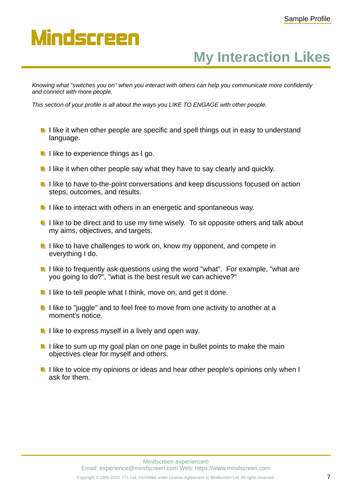#### **My Interaction Likes**

*Knowing what "switches you on" when you interact with others can help you communicate more confidently and connect with more people.*

*This section of your profile is all about the ways you LIKE TO ENGAGE with other people.*

- $\blacksquare$  I like it when other people are specific and spell things out in easy to understand language.
- $\blacksquare$  I like to experience things as I go.
- $\blacksquare$  I like it when other people say what they have to say clearly and quickly.
- $\blacksquare$  I like to have to-the-point conversations and keep discussions focused on action steps, outcomes, and results.
- $\blacksquare$  I like to interact with others in an energetic and spontaneous way.
- $\blacksquare$  I like to be direct and to use my time wisely. To sit opposite others and talk about my aims, objectives, and targets.
- $\blacksquare$  I like to have challenges to work on, know my opponent, and compete in everything I do.
- $\blacksquare$  I like to frequently ask questions using the word "what". For example, "what are you going to do?", "what is the best result we can achieve?"
- $\blacksquare$  I like to tell people what I think, move on, and get it done.
- $\blacksquare$  I like to "juggle" and to feel free to move from one activity to another at a moment's notice.
- $\blacksquare$  I like to express myself in a lively and open way.
- $\blacksquare$  I like to sum up my goal plan on one page in bullet points to make the main objectives clear for myself and others.
- I like to voice my opinions or ideas and hear other people's opinions only when I ask for them.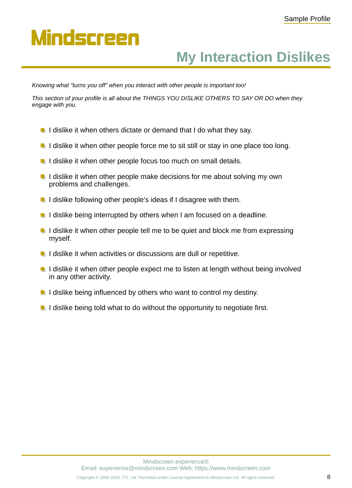### **My Interaction Dislikes**

*Knowing what "turns you off" when you interact with other people is important too!*

*This section of your profile is all about the THINGS YOU DISLIKE OTHERS TO SAY OR DO when they engage with you.*

- $\blacksquare$  I dislike it when others dictate or demand that I do what they say.
- I dislike it when other people force me to sit still or stay in one place too long.
- $\blacksquare$  I dislike it when other people focus too much on small details.
- $\blacksquare$  I dislike it when other people make decisions for me about solving my own problems and challenges.
- $\blacksquare$  I dislike following other people's ideas if I disagree with them.
- $\blacksquare$  I dislike being interrupted by others when I am focused on a deadline.
- $\blacksquare$  I dislike it when other people tell me to be quiet and block me from expressing myself.
- $\blacksquare$  I dislike it when activities or discussions are dull or repetitive.
- I dislike it when other people expect me to listen at length without being involved in any other activity.
- $\blacksquare$  I dislike being influenced by others who want to control my destiny.
- $\blacksquare$  I dislike being told what to do without the opportunity to negotiate first.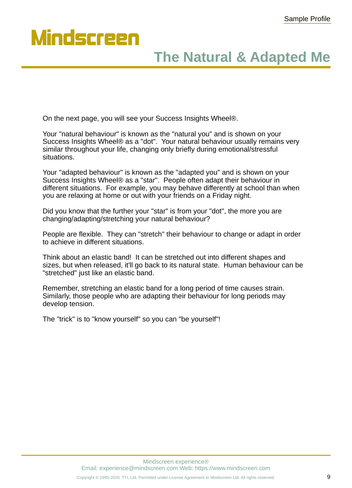### **The Natural & Adapted Me**

On the next page, you will see your Success Insights Wheel®.

| Your "natural behaviour" is known as the "natural you" and is shown on your     |
|---------------------------------------------------------------------------------|
| Success Insights Wheel® as a "dot". Your natural behaviour usually remains very |
| similar throughout your life, changing only briefly during emotional/stressful  |
| situations.                                                                     |

Your "adapted behaviour" is known as the "adapted you" and is shown on your Success Insights Wheel® as a "star". People often adapt their behaviour in different situations. For example, you may behave differently at school than when you are relaxing at home or out with your friends on a Friday night.

Did you know that the further your "star" is from your "dot", the more you are changing/adapting/stretching your natural behaviour?

People are flexible. They can "stretch" their behaviour to change or adapt in order to achieve in different situations.

Think about an elastic band! It can be stretched out into different shapes and sizes, but when released, it'll go back to its natural state. Human behaviour can be "stretched" just like an elastic band.

Remember, stretching an elastic band for a long period of time causes strain. Similarly, those people who are adapting their behaviour for long periods may develop tension.

The "trick" is to "know yourself" so you can "be yourself"!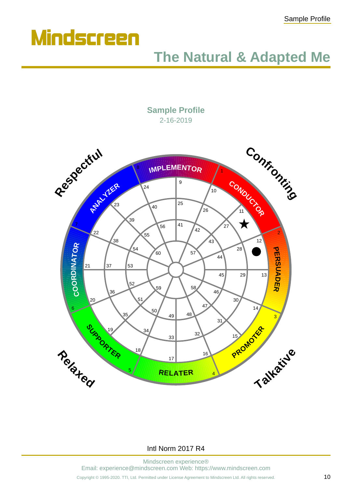

#### **The Natural & Adapted Me**

**Sample Profile** 2-16-2019



#### Intl Norm 2017 R4

Mindscreen experience® Email: experience@mindscreen.com Web: https://www.mindscreen.com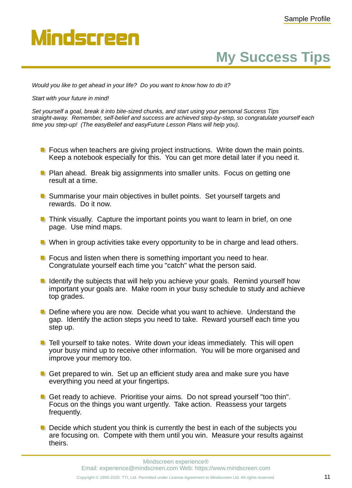### **My Success Tips**

*Would you like to get ahead in your life? Do you want to know how to do it?*

#### *Start with your future in mind!*

*Set yourself a goal, break it into bite-sized chunks, and start using your personal Success Tips straight-away. Remember, self-belief and success are achieved step-by-step, so congratulate yourself each time you step-up! (The easyBelief and easyFuture Lesson Plans will help you).*

- $\blacksquare$  Focus when teachers are giving project instructions. Write down the main points. Keep a notebook especially for this. You can get more detail later if you need it.
- **P** Plan ahead. Break big assignments into smaller units. Focus on getting one result at a time.
- Summarise your main objectives in bullet points. Set yourself targets and rewards. Do it now.
- $\blacksquare$  Think visually. Capture the important points you want to learn in brief, on one page. Use mind maps.
- **Notally** When in group activities take every opportunity to be in charge and lead others.
- **F** Focus and listen when there is something important you need to hear. Congratulate yourself each time you "catch" what the person said.
- I Identify the subjects that will help you achieve your goals. Remind yourself how important your goals are. Make room in your busy schedule to study and achieve top grades.
- **Define where you are now. Decide what you want to achieve. Understand the** gap. Identify the action steps you need to take. Reward yourself each time you step up.
- **T** Tell yourself to take notes. Write down your ideas immediately. This will open your busy mind up to receive other information. You will be more organised and improve your memory too.
- Get prepared to win. Set up an efficient study area and make sure you have everything you need at your fingertips.
- Get ready to achieve. Prioritise your aims. Do not spread yourself "too thin". Focus on the things you want urgently. Take action. Reassess your targets frequently.
- $\blacksquare$  Decide which student you think is currently the best in each of the subjects you are focusing on. Compete with them until you win. Measure your results against theirs.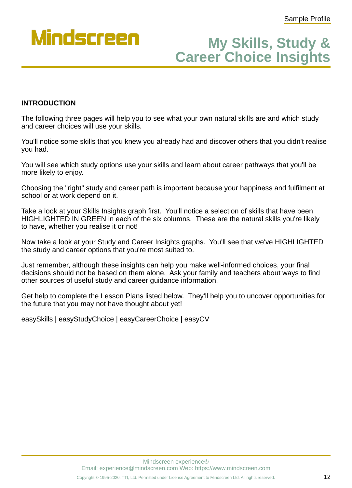

#### **Career Choice Insights My Skills, Study &**

#### **INTRODUCTION**

The following three pages will help you to see what your own natural skills are and which study and career choices will use your skills.

You'll notice some skills that you knew you already had and discover others that you didn't realise you had.

You will see which study options use your skills and learn about career pathways that you'll be more likely to enjoy.

Choosing the "right" study and career path is important because your happiness and fulfilment at school or at work depend on it.

Take a look at your Skills Insights graph first. You'll notice a selection of skills that have been HIGHLIGHTED IN GREEN in each of the six columns. These are the natural skills you're likely to have, whether you realise it or not!

Now take a look at your Study and Career Insights graphs. You'll see that we've HIGHLIGHTED the study and career options that you're most suited to.

Just remember, although these insights can help you make well-informed choices, your final decisions should not be based on them alone. Ask your family and teachers about ways to find other sources of useful study and career guidance information.

Get help to complete the Lesson Plans listed below. They'll help you to uncover opportunities for the future that you may not have thought about yet!

easySkills | easyStudyChoice | easyCareerChoice | easyCV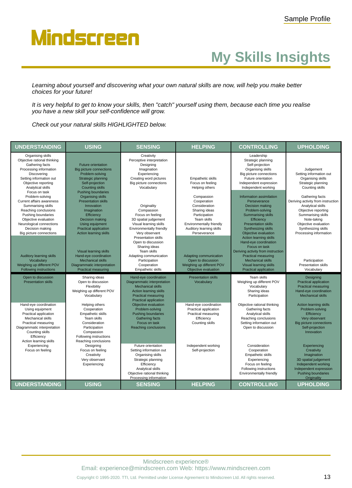## **My Skills Insights**

*Learning about yourself and discovering what your own natural skills are now, will help you make better choices for your future!*

*It is very helpful to get to know your skills, then "catch" yourself using them, because each time you realise you have a new skill your self-confidence will grow.*

*Check out your natural skills HIGHLIGHTED below.*

| <b>UNDERSTANDING</b>                                                                                                                                                                                                                                                   | <b>USING</b>                                                                                                                                                                                                                                                                      | <b>SENSING</b>                                                                                                                                                                                                                                              | <b>HELPING</b>                                                                                                                                                                                | <b>CONTROLLING</b>                                                                                                                                                                                                                                                                                                                             | <b>UPHOLDING</b>                                                                                                                                                                                                |
|------------------------------------------------------------------------------------------------------------------------------------------------------------------------------------------------------------------------------------------------------------------------|-----------------------------------------------------------------------------------------------------------------------------------------------------------------------------------------------------------------------------------------------------------------------------------|-------------------------------------------------------------------------------------------------------------------------------------------------------------------------------------------------------------------------------------------------------------|-----------------------------------------------------------------------------------------------------------------------------------------------------------------------------------------------|------------------------------------------------------------------------------------------------------------------------------------------------------------------------------------------------------------------------------------------------------------------------------------------------------------------------------------------------|-----------------------------------------------------------------------------------------------------------------------------------------------------------------------------------------------------------------|
| Organising skills<br>Objective rational thinking<br>Gathering facts<br>Processing information<br>Discovering<br>Setting information out<br>Objective reporting<br>Analytical skills                                                                                    | <b>Future orientation</b><br>Big picture connections<br>Problem-solving<br>Strategic planning<br>Self-projection<br><b>Counting skills</b>                                                                                                                                        | Creativity<br>Perceptive interpretation<br>Designing<br>Imagination<br>Experiencing<br>Creating word pictures<br>Big picture connections<br>Vocabulary                                                                                                      | <b>Empathetic skills</b><br>Focus on feeling<br>Helping others                                                                                                                                | Leadership<br>Strategic planning<br>Self-projection<br>Organising skills<br>Big picture connections<br>Future orientation<br>Independent expression<br>Independent working                                                                                                                                                                     | Judgement<br>Setting information out<br>Organising skills<br>Strategic planning<br>Counting skills                                                                                                              |
| Focus on task<br>Problem-solving<br>Current affairs awareness<br>Summarising skills<br>Reaching conclusions<br>Pushing boundaries<br>Objective evaluation<br>Neurological connections<br>Decision making<br>Big picture connections<br><b>Auditory learning skills</b> | <b>Pushing boundaries</b><br><b>Organising skills</b><br><b>Presentation skills</b><br>Innovation<br>Imagination<br>Efficiency<br>Decision making<br>Using equipment<br>Practical application<br><b>Action learning skills</b><br>Visual learning skills<br>Hand-eye coordination | Originality<br>Compassion<br>Focus on feeling<br>3D spatial judgement<br>Visual learning skills<br>Environmentally friendly<br>Very observant<br><b>Presentation skills</b><br>Open to discussion<br>Sharing ideas<br>Team skills<br>Adapting communication | Compassion<br>Cooperation<br>Consideration<br>Sharing ideas<br>Participation<br>Team skills<br>Environmentally friendly<br>Auditory learning skills<br>Perseverance<br>Adapting communication | Information assimilation<br>Perseverance<br>Decision making<br>Problem-solving<br><b>Summarising skills</b><br>Efficiency<br><b>Presentation skills</b><br>Synthesizing skills<br>Objective evaluation<br>Action learning skills<br>Hand-eye coordination<br>Focus on task<br>Deriving activity from instruction<br><b>Practical measuring</b> | Gathering facts<br>Deriving activity from instruction<br>Analytical skills<br>Objective reporting<br>Summarising skills<br>Note-taking<br>Objective evaluation<br>Synthesizing skills<br>Processing information |
| Vocabulary<br>Weighing up different POV<br><b>Following instructions</b>                                                                                                                                                                                               | <b>Mechanical skills</b><br>Diagrammatic interpretation<br><b>Practical measuring</b>                                                                                                                                                                                             | Participation<br>Cooperation<br><b>Empathetic skills</b>                                                                                                                                                                                                    | Open to discussion<br>Weighing up different POV<br>Objective evaluation                                                                                                                       | <b>Mechanical skills</b><br>Visual learning skills<br><b>Practical application</b>                                                                                                                                                                                                                                                             | Participation<br><b>Presentation skills</b><br>Vocabulary                                                                                                                                                       |
| Open to discussion<br><b>Presentation skills</b>                                                                                                                                                                                                                       | Sharing ideas<br>Open to discussion<br>Flexibility<br>Weighing up different POV<br>Vocabulary                                                                                                                                                                                     | Hand-eye coordination<br>Diagrammatic interpretation<br><b>Mechanical skills</b><br><b>Action learning skills</b><br><b>Practical measuring</b><br>Practical application                                                                                    | <b>Presentation skills</b><br>Vocabulary                                                                                                                                                      | Team skills<br>Weighing up different POV<br>Vocabulary<br>Sharing ideas<br>Participation                                                                                                                                                                                                                                                       | Designing<br>Practical application<br>Practical measuring<br>Hand-eye coordination<br><b>Mechanical skills</b>                                                                                                  |
| Hand-eye coordination<br>Using equipment<br>Practical application<br>Mechanical skills<br>Practical measuring<br>Diagrammatic interpretation<br>Counting skills<br>Efficiency<br>Action learning skills                                                                | Helping others<br>Cooperation<br>Empathetic skills<br>Team skills<br>Consideration<br>Participation<br>Compassion<br>Following instructions<br>Reaching conclusions                                                                                                               | Objective evaluation<br>Problem-solving<br>Pushing boundaries<br><b>Gathering facts</b><br>Focus on task<br>Reaching conclusions                                                                                                                            | Hand-eye coordination<br>Practical application<br>Practical measuring<br>Efficiency<br>Counting skills                                                                                        | Objective rational thinking<br>Gathering facts<br>Analytical skills<br>Reaching conclusions<br>Setting information out<br>Open to discussion                                                                                                                                                                                                   | <b>Action learning skills</b><br>Problem-solving<br>Efficiency<br>Very observant<br>Big picture connections<br>Self-projection<br>Innovation                                                                    |
| Experiencing<br>Focus on feeling                                                                                                                                                                                                                                       | Designing<br>Focus on feeling<br>Creativity<br>Very observant<br>Experiencing                                                                                                                                                                                                     | Future orientation<br>Setting information out<br>Organising skills<br>Strategic planning<br>Efficiency<br>Analytical skills<br>Objective rational thinking<br>Processing information                                                                        | Independent working<br>Self-projection                                                                                                                                                        | Consideration<br>Cooperation<br>Empathetic skills<br>Experiencing<br>Focus on feeling<br>Following instructions<br>Environmentally friendly                                                                                                                                                                                                    | Experiencing<br>Creativity<br>Imagination<br>3D spatial judgement<br>Independent working<br>Independent expression<br><b>Pushing boundaries</b><br>Originality                                                  |
| <b>UNDERSTANDING</b>                                                                                                                                                                                                                                                   | <b>USING</b>                                                                                                                                                                                                                                                                      | <b>SENSING</b>                                                                                                                                                                                                                                              | <b>HELPING</b>                                                                                                                                                                                | <b>CONTROLLING</b>                                                                                                                                                                                                                                                                                                                             | <b>UPHOLDING</b>                                                                                                                                                                                                |

Mindscreen experience® Email: experience@mindscreen.com Web: https://www.mindscreen.com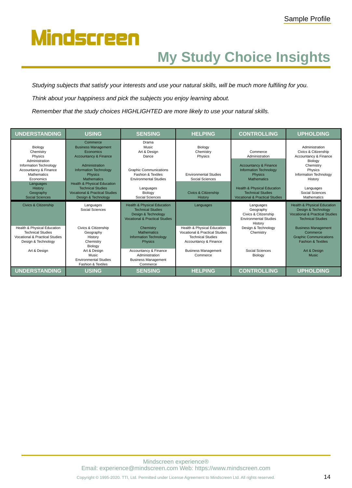## **My Study Choice Insights**

*Studying subjects that satisfy your interests and use your natural skills, will be much more fulfiling for you.*

*Think about your happiness and pick the subjects you enjoy learning about.*

*Remember that the study choices HIGHLIGHTED are more likely to use your natural skills.*

| <b>UNDERSTANDING</b>                                                                                                        | <b>USING</b>                                                                                                                      | <b>SENSING</b>                                                                                                                         | <b>HELPING</b>                                                                                                     | <b>CONTROLLING</b>                                                                                              | <b>UPHOLDING</b>                                                                                                                       |
|-----------------------------------------------------------------------------------------------------------------------------|-----------------------------------------------------------------------------------------------------------------------------------|----------------------------------------------------------------------------------------------------------------------------------------|--------------------------------------------------------------------------------------------------------------------|-----------------------------------------------------------------------------------------------------------------|----------------------------------------------------------------------------------------------------------------------------------------|
| Biology<br>Chemistry<br>Physics<br>Administration                                                                           | Commerce<br><b>Business Management</b><br>Economics<br><b>Accountancy &amp; Finance</b>                                           | Drama<br>Music<br>Art & Design<br>Dance                                                                                                | Biology<br>Chemistry<br>Physics                                                                                    | Commerce<br>Administration                                                                                      | Administration<br>Civics & Citizenship<br>Accountancy & Finance                                                                        |
| Information Technology<br>Accountancy & Finance<br><b>Mathematics</b><br>Economics<br>Languages                             | Administration<br><b>Information Technology</b><br><b>Physics</b><br><b>Mathematics</b><br><b>Health &amp; Physical Education</b> | <b>Graphic Communications</b><br><b>Fashion &amp; Textiles</b><br><b>Environmental Studies</b>                                         | <b>Environmental Studies</b><br>Social Sciences                                                                    | <b>Accountancy &amp; Finance</b><br><b>Information Technology</b><br><b>Physics</b><br><b>Mathematics</b>       | Biology<br>Chemistry<br>Physics<br>Information Technology<br>History                                                                   |
| History<br>Geography<br>Social Sciences                                                                                     | <b>Technical Studies</b><br><b>Vocational &amp; Practical Studies</b><br>Design & Technology                                      | Languages<br>Biology<br>Social Sciences                                                                                                | <b>Civics &amp; Citizenship</b><br>History                                                                         | <b>Health &amp; Physical Education</b><br><b>Technical Studies</b><br><b>Vocational &amp; Practical Studies</b> | Languages<br>Social Sciences<br><b>Mathematics</b>                                                                                     |
| <b>Civics &amp; Citizenship</b>                                                                                             | Languages<br>Social Sciences                                                                                                      | <b>Health &amp; Physical Education</b><br><b>Technical Studies</b><br>Design & Technology<br><b>Vocational &amp; Practical Studies</b> | Languages                                                                                                          | Languages<br>Geography<br>Civics & Citizenship<br><b>Environmental Studies</b><br>History                       | <b>Health &amp; Physical Education</b><br>Design & Technology<br><b>Vocational &amp; Practical Studies</b><br><b>Technical Studies</b> |
| Health & Physical Education<br><b>Technical Studies</b><br><b>Vocational &amp; Practical Studies</b><br>Design & Technology | Civics & Citizenship<br>Geography<br>History<br>Chemistry<br>Biology                                                              | Chemistry<br><b>Mathematics</b><br><b>Information Technology</b><br><b>Physics</b>                                                     | Health & Physical Education<br>Vocational & Practical Studies<br><b>Technical Studies</b><br>Accountancy & Finance | Design & Technology<br>Chemistry                                                                                | <b>Business Management</b><br>Commerce<br><b>Graphic Communications</b><br><b>Fashion &amp; Textiles</b>                               |
| Art & Design                                                                                                                | Art & Design<br>Music<br><b>Environmental Studies</b><br><b>Fashion &amp; Textiles</b>                                            | Accountancy & Finance<br>Administration<br><b>Business Management</b><br>Commerce                                                      | <b>Business Management</b><br>Commerce                                                                             | Social Sciences<br>Biology                                                                                      | Art & Design<br><b>Music</b>                                                                                                           |
| <b>UNDERSTANDING</b>                                                                                                        | <b>USING</b>                                                                                                                      | <b>SENSING</b>                                                                                                                         | <b>HELPING</b>                                                                                                     | <b>CONTROLLING</b>                                                                                              | <b>UPHOLDING</b>                                                                                                                       |